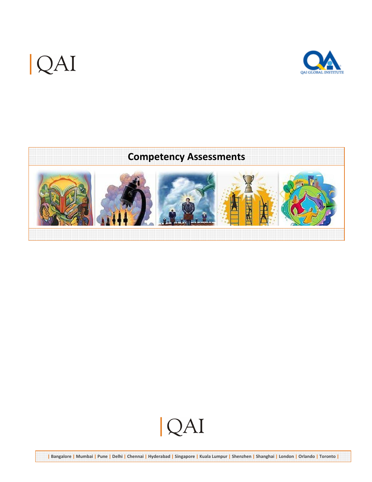# | QAI





## QAI

| Bangalore | Mumbai | Pune | Delhi | Chennai | Hyderabad | Singapore | Kuala Lumpur | Shenzhen | Shanghai | London | Orlando | Toronto |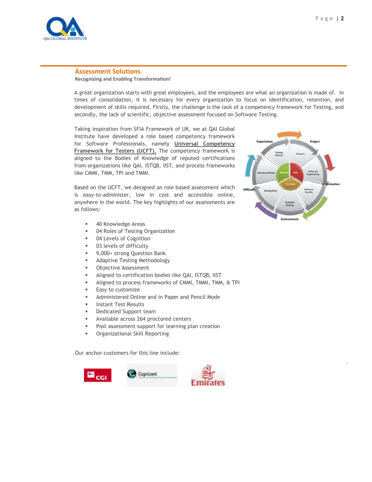

### Assessment Solutions

Recognizing and Enabling Transformation!

A great organization starts with great employees, and the employees are what an organization is made of. In times of consolidation, it is necessary for every organization to focus on identification, retention, and development of skills required. Firstly, the challenge is the lack of a competency framework for Testing, and secondly, the lack of scientific, objective assessment focused on Software Testing.

Taking inspiration from SFIA Framework of UK, we at QAI Global Institute have developed a role based competency framework for Software Professionals, namely **Universal Competency** Framework for Testers (UCFT). The competency framework is aligned to the Bodies of Knowledge of reputed certifications from organizations like QAI, ISTQB, IIST, and process frameworks like CMMI, TMM, TPI and TMMI.

Based on the UCFT, we designed an role based assessment which is easy-to-administer, low in cost and accessible online, anywhere in the world. The key highlights of our assessments are as follows:

- **40 Knowledge Areas**
- 04 Roles of Testing Organization
- 04 Levels of Cognition
- 03 levels of difficulty
- 9,000+ strong Question Bank
- Adaptive Testing Methodology
- Objective Assessment
- Aligned to certification bodies like QAI, ISTQB, IIST
- Aligned to process frameworks of CMMI, TMMI, TMM, & TPI
- **Easy to customize**
- Administered Online and in Paper and Pencil Mode
- Instant Test Results
- Dedicated Support team
- **Available across 264 proctored centers**
- Post assessment support for learning plan creation
- Organizational Skill Reporting

Our anchor customers for this line include:



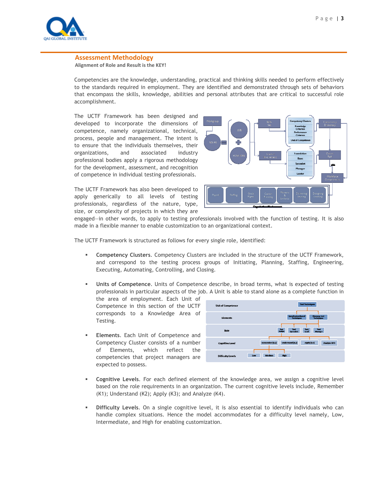

### Assessment Methodology

Alignment of Role and Result is the KEY!

Competencies are the knowledge, understanding, practical and thinking skills needed to perform effectively to the standards required in employment. They are identified and demonstrated through sets of behaviors that encompass the skills, knowledge, abilities and personal attributes that are critical to successful role accomplishment.

The UCTF Framework has been designed and developed to incorporate the dimensions of competence, namely organizational, technical, process, people and management. The intent is to ensure that the individuals themselves, their organizations, and associated industry professional bodies apply a rigorous methodology for the development, assessment, and recognition of competence in individual testing professionals.

The UCTF Framework has also been developed to apply generically to all levels of testing professionals, regardless of the nature, type, size, or complexity of projects in which they are



engaged—in other words, to apply to testing professionals involved with the function of testing. It is also made in a flexible manner to enable customization to an organizational context.

The UCTF Framework is structured as follows for every single role, identified:

- Competency Clusters. Competency Clusters are included in the structure of the UCTF Framework, and correspond to the testing process groups of Initiating, Planning, Staffing, Engineering, Executing, Automating, Controlling, and Closing.
- Units of Competence. Units of Competence describe, in broad terms, what is expected of testing professionals in particular aspects of the job. A Unit is able to stand alone as a complete function in

the area of employment. Each Unit of Competence in this section of the UCTF corresponds to a Knowledge Area of Testing.

**Elements.** Each Unit of Competence and Competency Cluster consists of a number of Elements, which reflect the competencies that project managers are expected to possess.



- Cognitive Levels. For each defined element of the knowledge area, we assign a cognitive level based on the role requirements in an organization. The current cognitive levels include, Remember (K1); Understand (K2); Apply (K3); and Analyze (K4).
- Difficulty Levels. On a single cognitive level, it is also essential to identify individuals who can handle complex situations. Hence the model accommodates for a difficulty level namely, Low, Intermediate, and High for enabling customization.